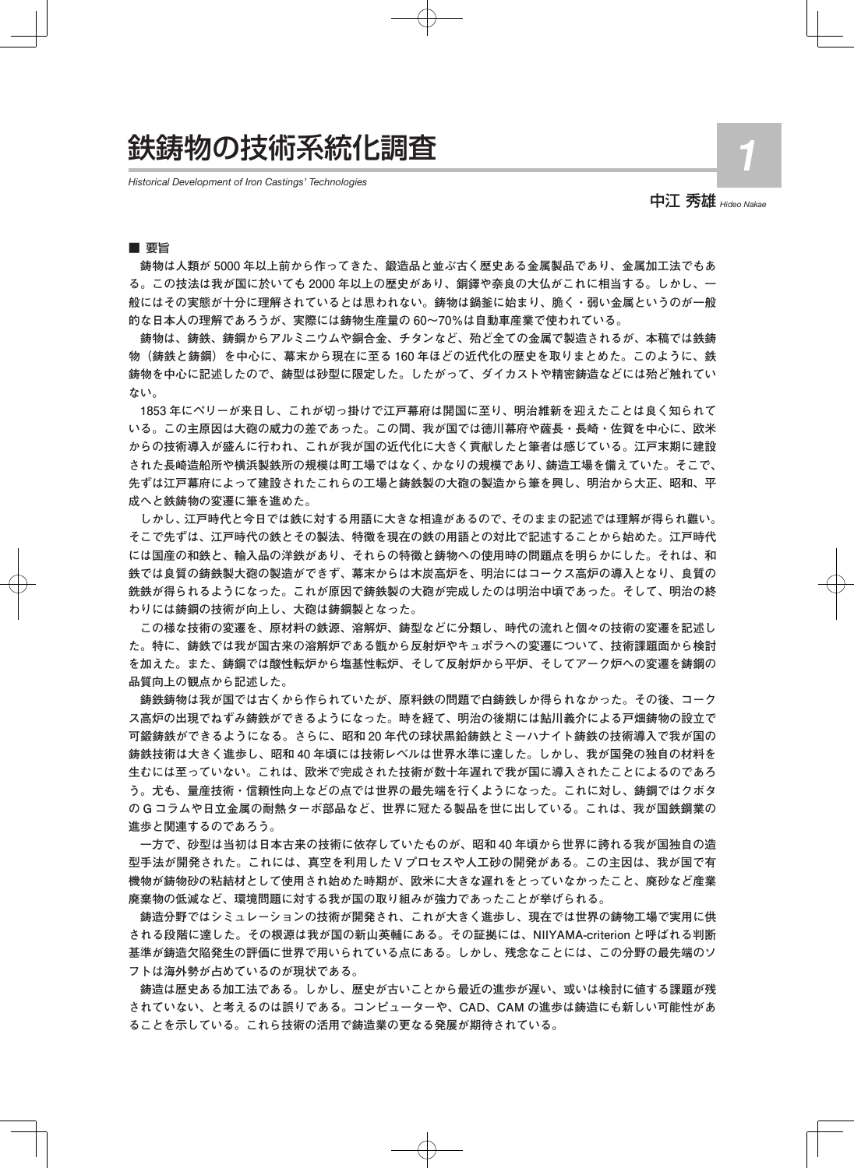# 鉄鋳物の技術系統化調査

*Historical Development of Iron Castings' Technologies*

中江 秀雄 *Hideo Nakae*

## ■ 要旨

**鋳物は人類が 5000 年以上前から作ってきた、鍛造品と並ぶ古く歴史ある金属製品であり、金属加工法でもあ る。この技法は我が国に於いても 2000 年以上の歴史があり、銅鐸や奈良の大仏がこれに相当する。しかし、一 般にはその実態が十分に理解されているとは思われない。鋳物は鍋釜に始まり、脆く・弱い金属というのが一般 的な日本人の理解であろうが、実際には鋳物生産量の 60~70%は自動車産業で使われている。**

**鋳物は、鋳鉄、鋳鋼からアルミニウムや銅合金、チタンなど、殆ど全ての金属で製造されるが、本稿では鉄鋳 物(鋳鉄と鋳鋼)を中心に、幕末から現在に至る 160 年ほどの近代化の歴史を取りまとめた。このように、鉄 鋳物を中心に記述したので、鋳型は砂型に限定した。したがって、ダイカストや精密鋳造などには殆ど触れてい ない。**

**1853 年にペリーが来日し、これが切っ掛けで江戸幕府は開国に至り、明治維新を迎えたことは良く知られて いる。この主原因は大砲の威力の差であった。この間、我が国では徳川幕府や薩長・長崎・佐賀を中心に、欧米 からの技術導入が盛んに行われ、これが我が国の近代化に大きく貢献したと筆者は感じている。江戸末期に建設 された長崎造船所や横浜製鉄所の規模は町工場ではなく、かなりの規模であり、鋳造工場を備えていた。そこで、 先ずは江戸幕府によって建設されたこれらの工場と鋳鉄製の大砲の製造から筆を興し、明治から大正、昭和、平 成へと鉄鋳物の変遷に筆を進めた。**

**しかし、江戸時代と今日では鉄に対する用語に大きな相違があるので、そのままの記述では理解が得られ難い。 そこで先ずは、江戸時代の鉄とその製法、特徴を現在の鉄の用語との対比で記述することから始めた。江戸時代 には国産の和鉄と、輸入品の洋鉄があり、それらの特徴と鋳物への使用時の問題点を明らかにした。それは、和 鉄では良質の鋳鉄製大砲の製造ができず、幕末からは木炭高炉を、明治にはコークス高炉の導入となり、良質の 銑鉄が得られるようになった。これが原因で鋳鉄製の大砲が完成したのは明治中頃であった。そして、明治の終 わりには鋳鋼の技術が向上し、大砲は鋳鋼製となった。**

**この様な技術の変遷を、原材料の鉄源、溶解炉、鋳型などに分類し、時代の流れと個々の技術の変遷を記述し た。特に、鋳鉄では我が国古来の溶解炉である甑から反射炉やキュポラへの変遷について、技術課題面から検討 を加えた。また、鋳鋼では酸性転炉から塩基性転炉、そして反射炉から平炉、そしてアーク炉への変遷を鋳鋼の 品質向上の観点から記述した。**

**鋳鉄鋳物は我が国では古くから作られていたが、原料鉄の問題で白鋳鉄しか得られなかった。その後、コーク ス高炉の出現でねずみ鋳鉄ができるようになった。時を経て、明治の後期には鮎川義介による戸畑鋳物の設立で 可鍛鋳鉄ができるようになる。さらに、昭和 20 年代の球状黒鉛鋳鉄とミーハナイト鋳鉄の技術導入で我が国の 鋳鉄技術は大きく進歩し、昭和 40 年頃には技術レベルは世界水準に達した。しかし、我が国発の独自の材料を 生むには至っていない。これは、欧米で完成された技術が数十年遅れで我が国に導入されたことによるのであろ う。尤も、量産技術・信頼性向上などの点では世界の最先端を行くようになった。これに対し、鋳鋼ではクボタ の G コラムや日立金属の耐熱ターボ部品など、世界に冠たる製品を世に出している。これは、我が国鉄鋼業の 進歩と関連するのであろう。**

**一方で、砂型は当初は日本古来の技術に依存していたものが、昭和 40 年頃から世界に誇れる我が国独自の造 型手法が開発された。これには、真空を利用した V プロセスや人工砂の開発がある。この主因は、我が国で有 機物が鋳物砂の粘結材として使用され始めた時期が、欧米に大きな遅れをとっていなかったこと、廃砂など産業 廃棄物の低減など、環境問題に対する我が国の取り組みが強力であったことが挙げられる。**

**鋳造分野ではシミュレーションの技術が開発され、これが大きく進歩し、現在では世界の鋳物工場で実用に供 される段階に達した。その根源は我が国の新山英輔にある。その証拠には、NIIYAMA-criterion と呼ばれる判断 基準が鋳造欠陥発生の評価に世界で用いられている点にある。しかし、残念なことには、この分野の最先端のソ フトは海外勢が占めているのが現状である。**

**鋳造は歴史ある加工法である。しかし、歴史が古いことから最近の進歩が遅い、或いは検討に値する課題が残 されていない、と考えるのは誤りである。コンピューターや、CAD、CAM の進歩は鋳造にも新しい可能性があ ることを示している。これら技術の活用で鋳造業の更なる発展が期待されている。**

**1**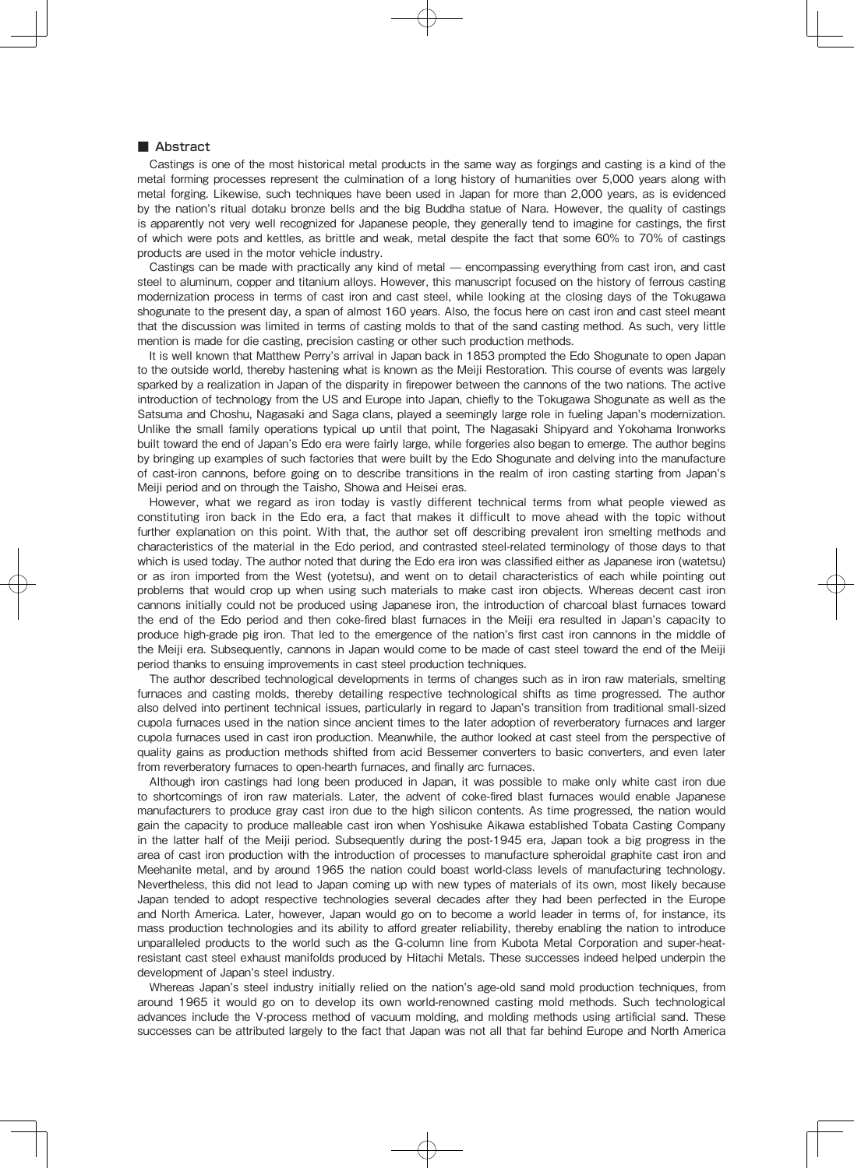### ■ Abstract

Castings is one of the most historical metal products in the same way as forgings and casting is a kind of the metal forming processes represent the culmination of a long history of humanities over 5,000 years along with metal forging. Likewise, such techniques have been used in Japan for more than 2,000 years, as is evidenced by the nation's ritual dotaku bronze bells and the big Buddha statue of Nara. However, the quality of castings is apparently not very well recognized for Japanese people, they generally tend to imagine for castings, the first of which were pots and kettles, as brittle and weak, metal despite the fact that some 60% to 70% of castings products are used in the motor vehicle industry.

Castings can be made with practically any kind of metal ̶ encompassing everything from cast iron, and cast steel to aluminum, copper and titanium alloys. However, this manuscript focused on the history of ferrous casting modernization process in terms of cast iron and cast steel, while looking at the closing days of the Tokugawa shogunate to the present day, a span of almost 160 years. Also, the focus here on cast iron and cast steel meant that the discussion was limited in terms of casting molds to that of the sand casting method. As such, very little mention is made for die casting, precision casting or other such production methods.

It is well known that Matthew Perry's arrival in Japan back in 1853 prompted the Edo Shogunate to open Japan to the outside world, thereby hastening what is known as the Meiji Restoration. This course of events was largely sparked by a realization in Japan of the disparity in firepower between the cannons of the two nations. The active introduction of technology from the US and Europe into Japan, chiefly to the Tokugawa Shogunate as well as the Satsuma and Choshu, Nagasaki and Saga clans, played a seemingly large role in fueling Japan's modernization. Unlike the small family operations typical up until that point, The Nagasaki Shipyard and Yokohama Ironworks built toward the end of Japan's Edo era were fairly large, while forgeries also began to emerge. The author begins by bringing up examples of such factories that were built by the Edo Shogunate and delving into the manufacture of cast-iron cannons, before going on to describe transitions in the realm of iron casting starting from Japan's Meiji period and on through the Taisho, Showa and Heisei eras.

However, what we regard as iron today is vastly different technical terms from what people viewed as constituting iron back in the Edo era, a fact that makes it difficult to move ahead with the topic without further explanation on this point. With that, the author set off describing prevalent iron smelting methods and characteristics of the material in the Edo period, and contrasted steel-related terminology of those days to that which is used today. The author noted that during the Edo era iron was classified either as Japanese iron (watetsu) or as iron imported from the West (yotetsu), and went on to detail characteristics of each while pointing out problems that would crop up when using such materials to make cast iron objects. Whereas decent cast iron cannons initially could not be produced using Japanese iron, the introduction of charcoal blast furnaces toward the end of the Edo period and then coke-fired blast furnaces in the Meiji era resulted in Japan's capacity to produce high-grade pig iron. That led to the emergence of the nation's first cast iron cannons in the middle of the Meiji era. Subsequently, cannons in Japan would come to be made of cast steel toward the end of the Meiji period thanks to ensuing improvements in cast steel production techniques.

The author described technological developments in terms of changes such as in iron raw materials, smelting furnaces and casting molds, thereby detailing respective technological shifts as time progressed. The author also delved into pertinent technical issues, particularly in regard to Japan's transition from traditional small-sized cupola furnaces used in the nation since ancient times to the later adoption of reverberatory furnaces and larger cupola furnaces used in cast iron production. Meanwhile, the author looked at cast steel from the perspective of quality gains as production methods shifted from acid Bessemer converters to basic converters, and even later from reverberatory furnaces to open-hearth furnaces, and finally arc furnaces.

Although iron castings had long been produced in Japan, it was possible to make only white cast iron due to shortcomings of iron raw materials. Later, the advent of coke-fired blast furnaces would enable Japanese manufacturers to produce gray cast iron due to the high silicon contents. As time progressed, the nation would gain the capacity to produce malleable cast iron when Yoshisuke Aikawa established Tobata Casting Company in the latter half of the Meiji period. Subsequently during the post-1945 era, Japan took a big progress in the area of cast iron production with the introduction of processes to manufacture spheroidal graphite cast iron and Meehanite metal, and by around 1965 the nation could boast world-class levels of manufacturing technology. Nevertheless, this did not lead to Japan coming up with new types of materials of its own, most likely because Japan tended to adopt respective technologies several decades after they had been perfected in the Europe and North America. Later, however, Japan would go on to become a world leader in terms of, for instance, its mass production technologies and its ability to afford greater reliability, thereby enabling the nation to introduce unparalleled products to the world such as the G-column line from Kubota Metal Corporation and super-heatresistant cast steel exhaust manifolds produced by Hitachi Metals. These successes indeed helped underpin the development of Japan's steel industry.

Whereas Japan's steel industry initially relied on the nation's age-old sand mold production techniques, from around 1965 it would go on to develop its own world-renowned casting mold methods. Such technological advances include the V-process method of vacuum molding, and molding methods using artificial sand. These successes can be attributed largely to the fact that Japan was not all that far behind Europe and North America